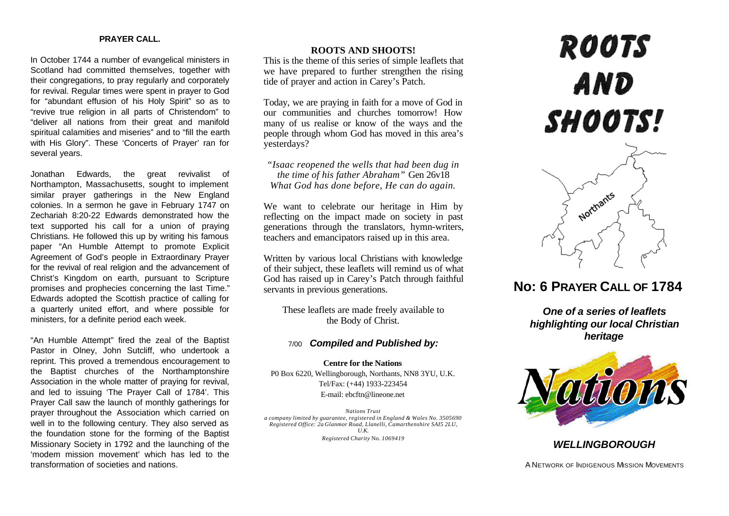#### **PRAYER CALL.**

In October 1744 a number of evangelical ministers in Scotland had committed themselves, together with their congregations, to pray regularly and corporately for revival. Regular times were spent in prayer to God for "abundant effusion of his Holy Spirit" so as to "revive true religion in all parts of Christendom" to "deliver all nations from their great and manifold spiritual calamities and miseries" and to "fill the earth with His Glory". These 'Concerts of Prayer' ran for several years.

Jonathan Edwards, the great revivalist of Northampton, Massachusetts, sought to implement similar prayer gatherings in the New England colonies. In a sermon he gave in February 1747 on Zechariah 8:20-22 Edwards demonstrated how the text supported his call for a union of praying Christians. He followed this up by writing his famous paper "An Humble Attempt to promote Explicit Agreement of God's people in Extraordinary Prayer for the revival of real religion and the advancement of Christ's Kingdom on earth, pursuant to Scripture promises and prophecies concerning the last Time." Edwards adopted the Scottish practice of calling for a quarterly united effort, and where possible for ministers, for a definite period each week.

"An Humble Attempt" fired the zeal of the Baptist Pastor in Olney, John Sutcliff, who undertook a reprint. This proved a tremendous encouragement to the Baptist churches of the Northamptonshire Association in the whole matter of praying for revival, and led to issuing 'The Prayer Call of 1784'. This Prayer Call saw the launch of monthly gatherings for prayer throughout the Association which carried on well in to the following century. They also served as the foundation stone for the forming of the Baptist Missionary Society in 1792 and the launching of the 'modem mission movement' which has led to the transformation of societies and nations.

#### **ROOTS AND SHOOTS!**

This is the theme of this series of simple leaflets that we have prepared to further strengthen the rising tide of prayer and action in Carey's Patch.

Today, we are praying in faith for a move of God in our communities and churches tomorrow! How many of us realise or know of the ways and the people through whom God has moved in this area's yesterdays?

*"Isaac reopened the wells that had been dug in the time of his father Abraham"* Gen 26v18 *What God has done before, He can do again.*

We want to celebrate our heritage in Him by reflecting on the impact made on society in past generations through the translators, hymn-writers, teachers and emancipators raised up in this area.

Written by various local Christians with knowledge of their subject, these leaflets will remind us of what God has raised up in Carey's Patch through faithful servants in previous generations.

These leaflets are made freely available to the Body of Christ.

### **Compiled and Published by:**

**Centre for the Nations** P0 Box 6220, Wellingborough, Northants, NN8 3YU, U.K. Tel/Fax: (+44) 1933-223454 E-mail: ebcftn@lineone.net

*Nations Trust a company limited by guarantee, registered in England & Wales No. 3505690 Registered Office: 2a Glanmor Road, Llanelli, Camarthenshire SAI5 2LU, U.K. Registered Charity* No. *1069419*

# **ROOTS** AND **SHOOTS!**



## **No: 6 PRAYER CALL OF 1784**

*One of a series of leaflets highlighting our local Christian heritage*



## *WELLINGBOROUGH*

A NETWORK OF INDIGENOUS MISSION MOVEMENTS